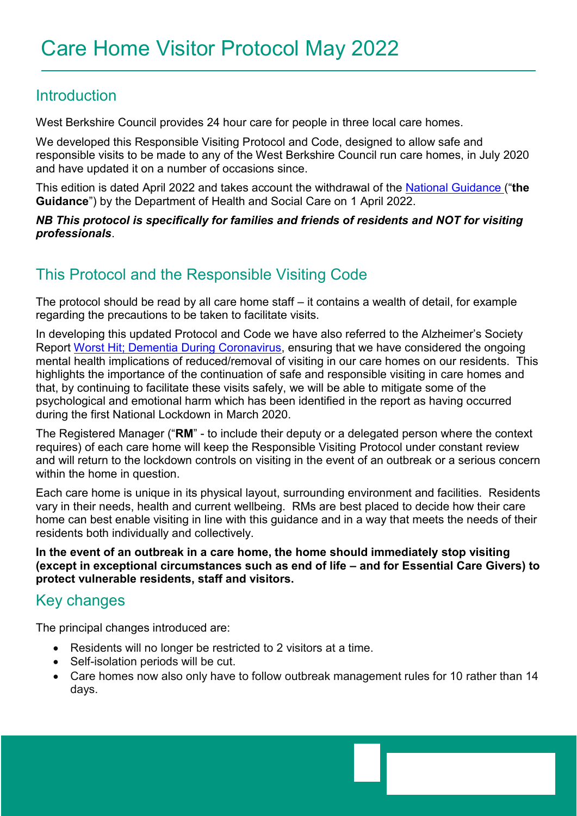### Introduction

West Berkshire Council provides 24 hour care for people in three local care homes.

We developed this Responsible Visiting Protocol and Code, designed to allow safe and responsible visits to be made to any of the West Berkshire Council run care homes, in July 2020 and have updated it on a number of occasions since.

This edition is dated April 2022 and takes account the withdrawal of the [National Guidance](https://protect-eu.mimecast.com/s/ATPTCYvxXC3mADEFgUcBp?domain=adass.us9.list-manage.com) ("**the Guidance**") by the Department of Health and Social Care on 1 April 2022.

*NB This protocol is specifically for families and friends of residents and NOT for visiting professionals*.

## This Protocol and the Responsible Visiting Code

The protocol should be read by all care home staff – it contains a wealth of detail, for example regarding the precautions to be taken to facilitate visits.

In developing this updated Protocol and Code we have also referred to the Alzheimer's Society Report [Worst Hit; Dementia During Coronavirus,](https://www.alzheimers.org.uk/sites/default/files/2020-09/Worst-hit-Dementia-during-coronavirus-report.pdf) ensuring that we have considered the ongoing mental health implications of reduced/removal of visiting in our care homes on our residents. This highlights the importance of the continuation of safe and responsible visiting in care homes and that, by continuing to facilitate these visits safely, we will be able to mitigate some of the psychological and emotional harm which has been identified in the report as having occurred during the first National Lockdown in March 2020.

The Registered Manager ("**RM**" - to include their deputy or a delegated person where the context requires) of each care home will keep the Responsible Visiting Protocol under constant review and will return to the lockdown controls on visiting in the event of an outbreak or a serious concern within the home in question.

Each care home is unique in its physical layout, surrounding environment and facilities. Residents vary in their needs, health and current wellbeing. RMs are best placed to decide how their care home can best enable visiting in line with this guidance and in a way that meets the needs of their residents both individually and collectively.

**In the event of an outbreak in a care home, the home should immediately stop visiting (except in exceptional circumstances such as end of life – and for Essential Care Givers) to protect vulnerable residents, staff and visitors.**

## Key changes

The principal changes introduced are:

- Residents will no longer be restricted to 2 visitors at a time.
- Self-isolation periods will be cut.
- Care homes now also only have to follow outbreak management rules for 10 rather than 14 days.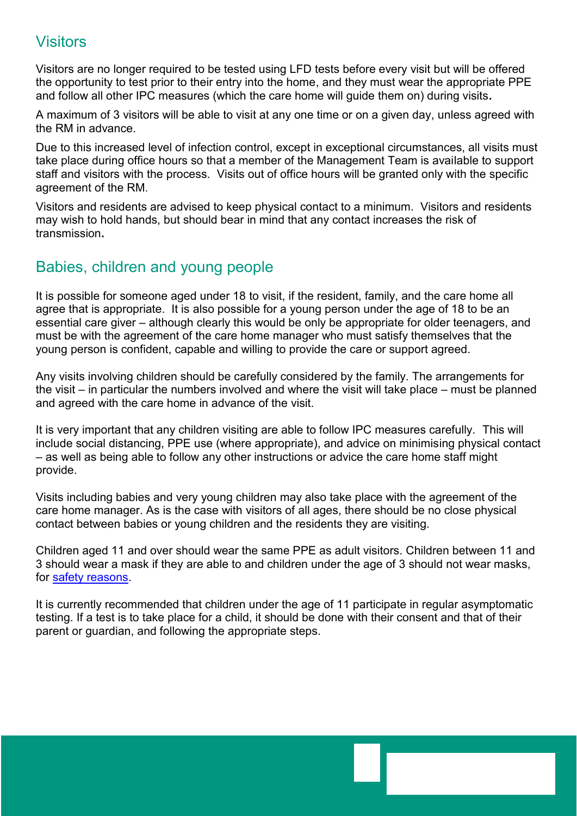## **Visitors**

Visitors are no longer required to be tested using LFD tests before every visit but will be offered the opportunity to test prior to their entry into the home, and they must wear the appropriate PPE and follow all other IPC measures (which the care home will guide them on) during visits**.** 

A maximum of 3 visitors will be able to visit at any one time or on a given day, unless agreed with the RM in advance.

Due to this increased level of infection control, except in exceptional circumstances, all visits must take place during office hours so that a member of the Management Team is available to support staff and visitors with the process. Visits out of office hours will be granted only with the specific agreement of the RM.

Visitors and residents are advised to keep physical contact to a minimum. Visitors and residents may wish to hold hands, but should bear in mind that any contact increases the risk of transmission**.** 

## Babies, children and young people

It is possible for someone aged under 18 to visit, if the resident, family, and the care home all agree that is appropriate. It is also possible for a young person under the age of 18 to be an essential care giver – although clearly this would be only be appropriate for older teenagers, and must be with the agreement of the care home manager who must satisfy themselves that the young person is confident, capable and willing to provide the care or support agreed.

Any visits involving children should be carefully considered by the family. The arrangements for the visit – in particular the numbers involved and where the visit will take place – must be planned and agreed with the care home in advance of the visit.

It is very important that any children visiting are able to follow IPC measures carefully. This will include social distancing, PPE use (where appropriate), and advice on minimising physical contact – as well as being able to follow any other instructions or advice the care home staff might provide.

Visits including babies and very young children may also take place with the agreement of the care home manager. As is the case with visitors of all ages, there should be no close physical contact between babies or young children and the residents they are visiting.

Children aged 11 and over should wear the same PPE as adult visitors. Children between 11 and 3 should wear a mask if they are able to and children under the age of 3 should not wear masks, for [safety reasons.](https://www.gov.uk/government/publications/face-coverings-when-to-wear-one-and-how-to-make-your-own/face-coverings-when-to-wear-one-and-how-to-make-your-own#exemptions)

It is currently recommended that children under the age of 11 participate in regular asymptomatic testing. If a test is to take place for a child, it should be done with their consent and that of their parent or guardian, and following the appropriate steps.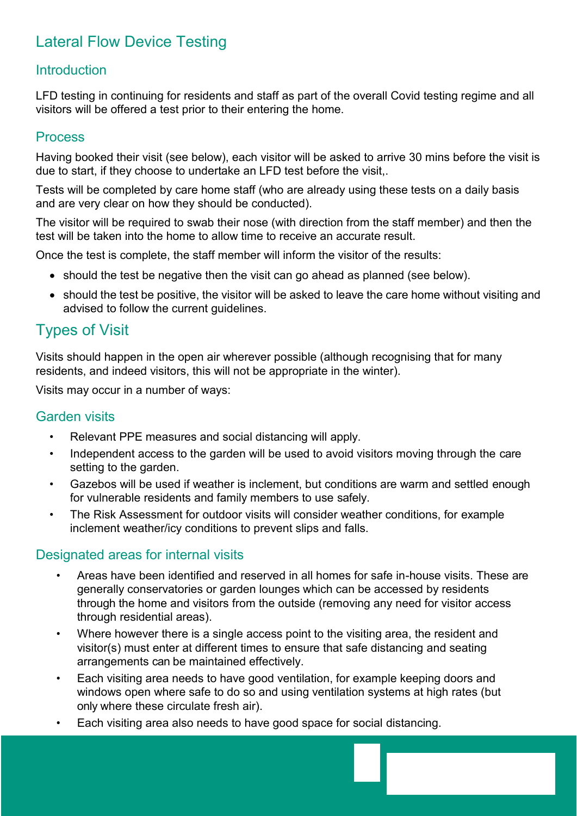# Lateral Flow Device Testing

### **Introduction**

LFD testing in continuing for residents and staff as part of the overall Covid testing regime and all visitors will be offered a test prior to their entering the home.

#### Process

Having booked their visit (see below), each visitor will be asked to arrive 30 mins before the visit is due to start, if they choose to undertake an LFD test before the visit,.

Tests will be completed by care home staff (who are already using these tests on a daily basis and are very clear on how they should be conducted).

The visitor will be required to swab their nose (with direction from the staff member) and then the test will be taken into the home to allow time to receive an accurate result.

Once the test is complete, the staff member will inform the visitor of the results:

- should the test be negative then the visit can go ahead as planned (see below).
- should the test be positive, the visitor will be asked to leave the care home without visiting and advised to follow the current guidelines.

### Types of Visit

Visits should happen in the open air wherever possible (although recognising that for many residents, and indeed visitors, this will not be appropriate in the winter).

Visits may occur in a number of ways:

#### Garden visits

- Relevant PPE measures and social distancing will apply.
- Independent access to the garden will be used to avoid visitors moving through the care setting to the garden.
- Gazebos will be used if weather is inclement, but conditions are warm and settled enough for vulnerable residents and family members to use safely.
- The Risk Assessment for outdoor visits will consider weather conditions, for example inclement weather/icy conditions to prevent slips and falls.

#### Designated areas for internal visits

- Areas have been identified and reserved in all homes for safe in-house visits. These are generally conservatories or garden lounges which can be accessed by residents through the home and visitors from the outside (removing any need for visitor access through residential areas).
- Where however there is a single access point to the visiting area, the resident and visitor(s) must enter at different times to ensure that safe distancing and seating arrangements can be maintained effectively.
- Each visiting area needs to have good ventilation, for example keeping doors and windows open where safe to do so and using ventilation systems at high rates (but only where these circulate fresh air).
- Each visiting area also needs to have good space for social distancing.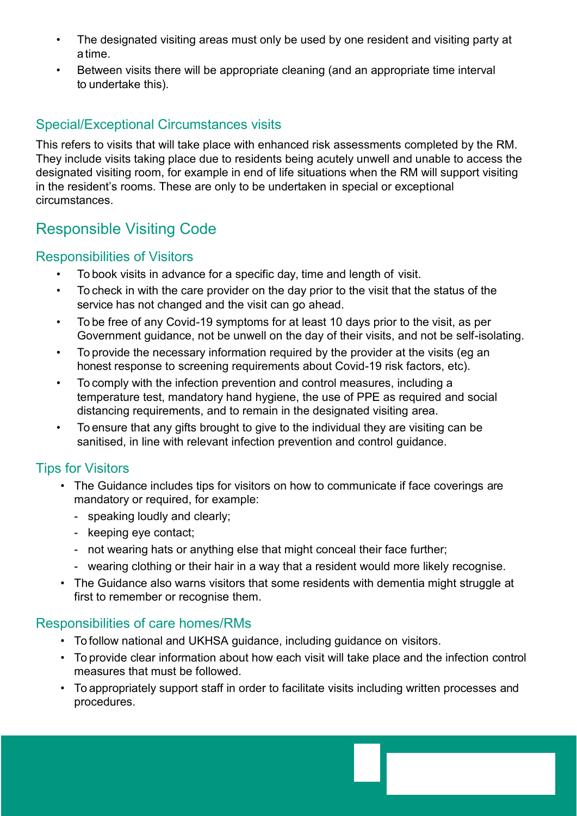- The designated visiting areas must only be used by one resident and visiting party at a time.
- Between visits there will be appropriate cleaning (and an appropriate time interval to undertake this).

### Special/Exceptional Circumstances visits

This refers to visits that will take place with enhanced risk assessments completed by the RM. They include visits taking place due to residents being acutely unwell and unable to access the designated visiting room, for example in end of life situations when the RM will support visiting in the resident's rooms. These are only to be undertaken in special or exceptional circumstances.

## Responsible Visiting Code

#### Responsibilities of Visitors

- To book visits in advance for a specific day, time and length of visit.
- To check in with the care provider on the day prior to the visit that the status of the service has not changed and the visit can go ahead.
- To be free of any Covid-19 symptoms for at least 10 days prior to the visit, as per Government guidance, not be unwell on the day of their visits, and not be self-isolating.
- To provide the necessary information required by the provider at the visits (eg an honest response to screening requirements about Covid-19 risk factors, etc).
- To comply with the infection prevention and control measures, including a temperature test, mandatory hand hygiene, the use of PPE as required and social distancing requirements, and to remain in the designated visiting area.
- To ensure that any gifts brought to give to the individual they are visiting can be sanitised, in line with relevant infection prevention and control guidance.

### Tips for Visitors

- The Guidance includes tips for visitors on how to communicate if face coverings are mandatory or required, for example:
	- speaking loudly and clearly;
	- keeping eye contact;
	- not wearing hats or anything else that might conceal their face further;
	- wearing clothing or their hair in a way that a resident would more likely recognise.
- The Guidance also warns visitors that some residents with dementia might struggle at first to remember or recognise them.

#### Responsibilities of care homes/RMs

- To follow national and UKHSA guidance, including guidance on visitors.
- To provide clear information about how each visit will take place and the infection control measures that must be followed.
- To appropriately support staff in order to facilitate visits including written processes and procedures.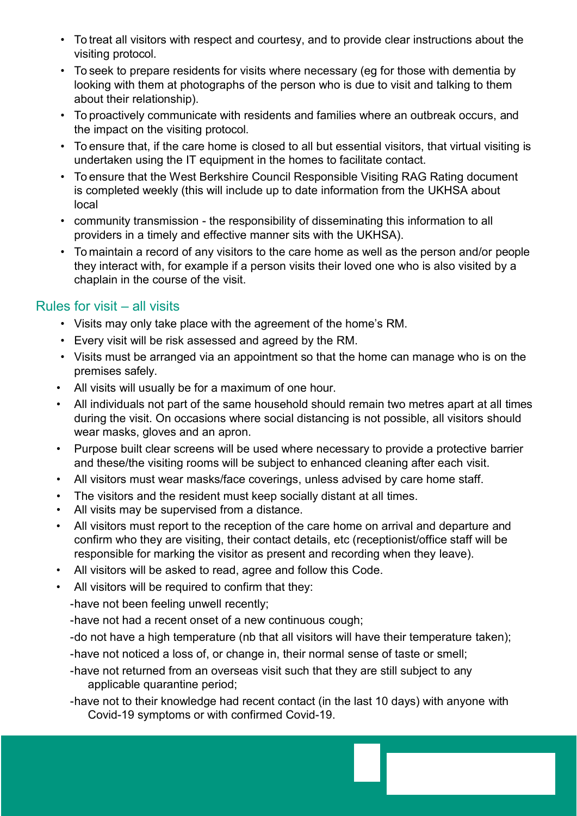- To treat all visitors with respect and courtesy, and to provide clear instructions about the visiting protocol.
- To seek to prepare residents for visits where necessary (eg for those with dementia by looking with them at photographs of the person who is due to visit and talking to them about their relationship).
- To proactively communicate with residents and families where an outbreak occurs, and the impact on the visiting protocol.
- To ensure that, if the care home is closed to all but essential visitors, that virtual visiting is undertaken using the IT equipment in the homes to facilitate contact.
- To ensure that the West Berkshire Council Responsible Visiting RAG Rating document is completed weekly (this will include up to date information from the UKHSA about local
- community transmission the responsibility of disseminating this information to all providers in a timely and effective manner sits with the UKHSA).
- To maintain a record of any visitors to the care home as well as the person and/or people they interact with, for example if a person visits their loved one who is also visited by a chaplain in the course of the visit.

### Rules for visit – all visits

- Visits may only take place with the agreement of the home's RM.
- Every visit will be risk assessed and agreed by the RM.
- Visits must be arranged via an appointment so that the home can manage who is on the premises safely.
- All visits will usually be for a maximum of one hour.
- All individuals not part of the same household should remain two metres apart at all times during the visit. On occasions where social distancing is not possible, all visitors should wear masks, gloves and an apron.
- Purpose built clear screens will be used where necessary to provide a protective barrier and these/the visiting rooms will be subject to enhanced cleaning after each visit.
- All visitors must wear masks/face coverings, unless advised by care home staff.
- The visitors and the resident must keep socially distant at all times.
- All visits may be supervised from a distance.
- All visitors must report to the reception of the care home on arrival and departure and confirm who they are visiting, their contact details, etc (receptionist/office staff will be responsible for marking the visitor as present and recording when they leave).
- All visitors will be asked to read, agree and follow this Code.
- All visitors will be required to confirm that they:

-have not been feeling unwell recently;

-have not had a recent onset of a new continuous cough;

- -do not have a high temperature (nb that all visitors will have their temperature taken);
- -have not noticed a loss of, or change in, their normal sense of taste or smell;
- -have not returned from an overseas visit such that they are still subject to any applicable quarantine period;
- -have not to their knowledge had recent contact (in the last 10 days) with anyone with Covid-19 symptoms or with confirmed Covid-19.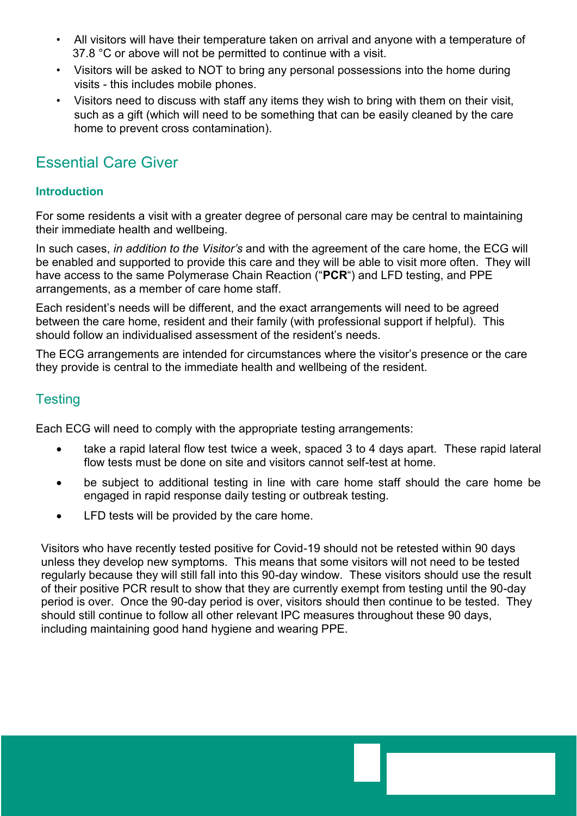- All visitors will have their temperature taken on arrival and anyone with a temperature of 37.8 °C or above will not be permitted to continue with a visit.
- Visitors will be asked to NOT to bring any personal possessions into the home during visits - this includes mobile phones.
- Visitors need to discuss with staff any items they wish to bring with them on their visit, such as a gift (which will need to be something that can be easily cleaned by the care home to prevent cross contamination).

### Essential Care Giver

#### **Introduction**

For some residents a visit with a greater degree of personal care may be central to maintaining their immediate health and wellbeing.

In such cases, *in addition to the Visitor's* and with the agreement of the care home, the ECG will be enabled and supported to provide this care and they will be able to visit more often. They will have access to the same Polymerase Chain Reaction ("**PCR**") and LFD testing, and PPE arrangements, as a member of care home staff.

Each resident's needs will be different, and the exact arrangements will need to be agreed between the care home, resident and their family (with professional support if helpful). This should follow an individualised assessment of the resident's needs.

The ECG arrangements are intended for circumstances where the visitor's presence or the care they provide is central to the immediate health and wellbeing of the resident.

### **Testing**

Each ECG will need to comply with the appropriate testing arrangements:

- take a rapid lateral flow test twice a week, spaced 3 to 4 days apart. These rapid lateral flow tests must be done on site and visitors cannot self-test at home.
- be subject to additional testing in line with care home staff should the care home be engaged in rapid response daily testing or outbreak testing.
- LFD tests will be provided by the care home.

Visitors who have recently tested positive for Covid-19 should not be retested within 90 days unless they develop new symptoms. This means that some visitors will not need to be tested regularly because they will still fall into this 90-day window. These visitors should use the result of their positive PCR result to show that they are currently exempt from testing until the 90-day period is over. Once the 90-day period is over, visitors should then continue to be tested. They should still continue to follow all other relevant IPC measures throughout these 90 days, including maintaining good hand hygiene and wearing PPE.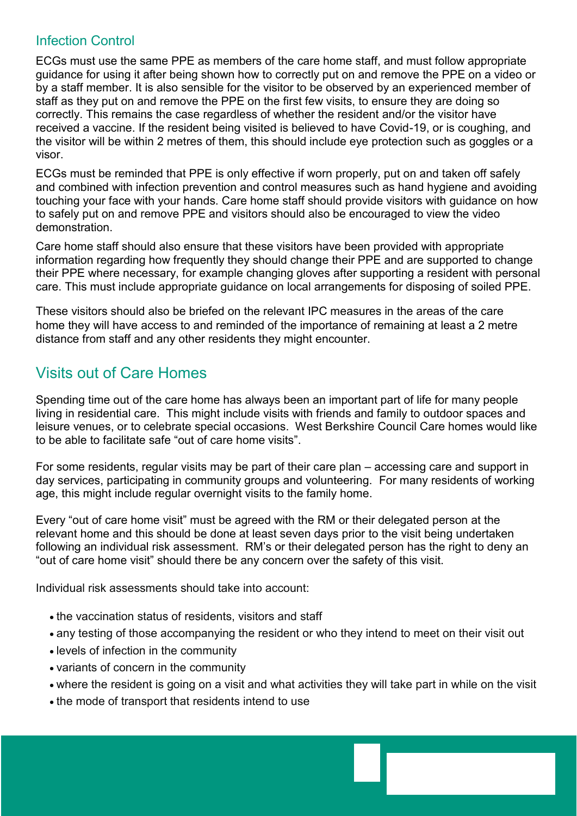#### Infection Control

ECGs must use the same PPE as members of the care home staff, and must follow appropriate guidance for using it after being shown how to correctly put on and remove the PPE on a video or by a staff member. It is also sensible for the visitor to be observed by an experienced member of staff as they put on and remove the PPE on the first few visits, to ensure they are doing so correctly. This remains the case regardless of whether the resident and/or the visitor have received a vaccine. If the resident being visited is believed to have Covid-19, or is coughing, and the visitor will be within 2 metres of them, this should include eye protection such as goggles or a visor.

ECGs must be reminded that PPE is only effective if worn properly, put on and taken off safely and combined with infection prevention and control measures such as hand hygiene and avoiding touching your face with your hands. Care home staff should provide visitors with guidance on how to safely put on and remove PPE and visitors should also be encouraged to view the video demonstration.

Care home staff should also ensure that these visitors have been provided with appropriate information regarding how frequently they should change their PPE and are supported to change their PPE where necessary, for example changing gloves after supporting a resident with personal care. This must include appropriate guidance on local arrangements for disposing of soiled PPE.

These visitors should also be briefed on the relevant IPC measures in the areas of the care home they will have access to and reminded of the importance of remaining at least a 2 metre distance from staff and any other residents they might encounter.

# Visits out of Care Homes

Spending time out of the care home has always been an important part of life for many people living in residential care. This might include visits with friends and family to outdoor spaces and leisure venues, or to celebrate special occasions. West Berkshire Council Care homes would like to be able to facilitate safe "out of care home visits".

For some residents, regular visits may be part of their care plan – accessing care and support in day services, participating in community groups and volunteering. For many residents of working age, this might include regular overnight visits to the family home.

Every "out of care home visit" must be agreed with the RM or their delegated person at the relevant home and this should be done at least seven days prior to the visit being undertaken following an individual risk assessment. RM's or their delegated person has the right to deny an "out of care home visit" should there be any concern over the safety of this visit.

Individual risk assessments should take into account:

- the vaccination status of residents, visitors and staff
- any testing of those accompanying the resident or who they intend to meet on their visit out
- levels of infection in the community
- variants of concern in the community
- where the resident is going on a visit and what activities they will take part in while on the visit
- the mode of transport that residents intend to use